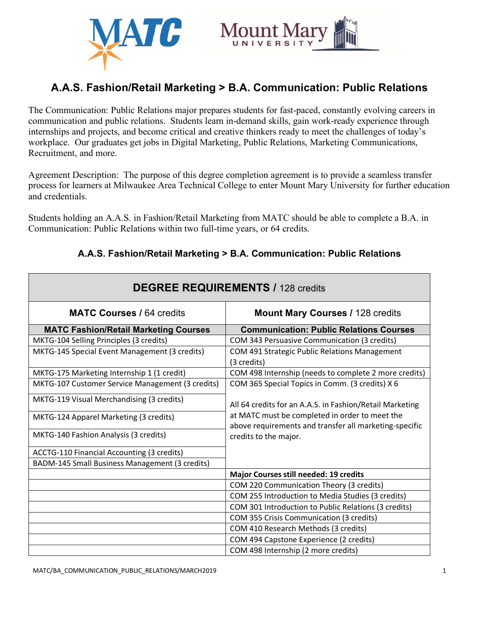

# **A.A.S. Fashion/Retail Marketing > B.A. Communication: Public Relations**

The Communication: Public Relations major prepares students for fast-paced, constantly evolving careers in communication and public relations. Students learn in-demand skills, gain work-ready experience through internships and projects, and become critical and creative thinkers ready to meet the challenges of today's workplace. Our graduates get jobs in Digital Marketing, Public Relations, Marketing Communications, Recruitment, and more.

Agreement Description: The purpose of this degree completion agreement is to provide a seamless transfer process for learners at Milwaukee Area Technical College to enter Mount Mary University for further education and credentials.

Students holding an A.A.S. in Fashion/Retail Marketing from MATC should be able to complete a B.A. in Communication: Public Relations within two full-time years, or 64 credits.

## **A.A.S. Fashion/Retail Marketing > B.A. Communication: Public Relations**

| <b>DEGREE REQUIREMENTS / 128 credits</b>         |                                                                                                          |
|--------------------------------------------------|----------------------------------------------------------------------------------------------------------|
| <b>MATC Courses / 64 credits</b>                 | <b>Mount Mary Courses / 128 credits</b>                                                                  |
| <b>MATC Fashion/Retail Marketing Courses</b>     | <b>Communication: Public Relations Courses</b>                                                           |
| MKTG-104 Selling Principles (3 credits)          | COM 343 Persuasive Communication (3 credits)                                                             |
| MKTG-145 Special Event Management (3 credits)    | COM 491 Strategic Public Relations Management<br>(3 credits)                                             |
| MKTG-175 Marketing Internship 1 (1 credit)       | COM 498 Internship (needs to complete 2 more credits)                                                    |
| MKTG-107 Customer Service Management (3 credits) | COM 365 Special Topics in Comm. (3 credits) X 6                                                          |
| MKTG-119 Visual Merchandising (3 credits)        | All 64 credits for an A.A.S. in Fashion/Retail Marketing                                                 |
| MKTG-124 Apparel Marketing (3 credits)           | at MATC must be completed in order to meet the<br>above requirements and transfer all marketing-specific |
| MKTG-140 Fashion Analysis (3 credits)            | credits to the major.                                                                                    |
| ACCTG-110 Financial Accounting (3 credits)       |                                                                                                          |
| BADM-145 Small Business Management (3 credits)   |                                                                                                          |
|                                                  | Major Courses still needed: 19 credits                                                                   |
|                                                  | COM 220 Communication Theory (3 credits)                                                                 |
|                                                  | COM 255 Introduction to Media Studies (3 credits)                                                        |
|                                                  | COM 301 Introduction to Public Relations (3 credits)                                                     |
|                                                  | COM 355 Crisis Communication (3 credits)                                                                 |
|                                                  | COM 410 Research Methods (3 credits)                                                                     |
|                                                  | COM 494 Capstone Experience (2 credits)                                                                  |
|                                                  | COM 498 Internship (2 more credits)                                                                      |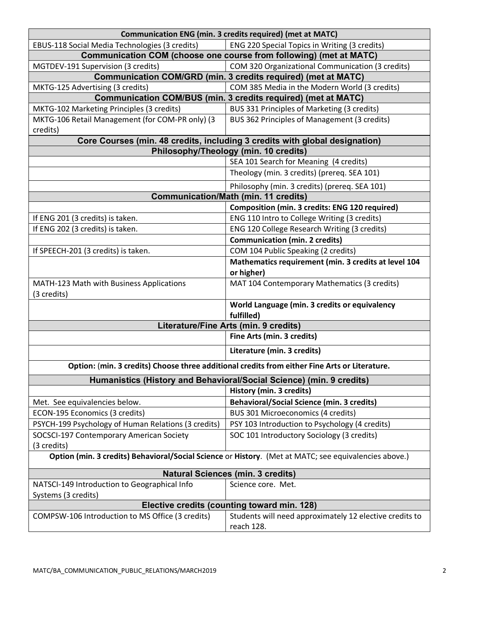| <b>Communication ENG (min. 3 credits required) (met at MATC)</b>                                      |                                                                       |  |
|-------------------------------------------------------------------------------------------------------|-----------------------------------------------------------------------|--|
| EBUS-118 Social Media Technologies (3 credits)                                                        | ENG 220 Special Topics in Writing (3 credits)                         |  |
| Communication COM (choose one course from following) (met at MATC)                                    |                                                                       |  |
| MGTDEV-191 Supervision (3 credits)                                                                    | COM 320 Organizational Communication (3 credits)                      |  |
|                                                                                                       | <b>Communication COM/GRD (min. 3 credits required) (met at MATC)</b>  |  |
| MKTG-125 Advertising (3 credits)                                                                      | COM 385 Media in the Modern World (3 credits)                         |  |
| <b>Communication COM/BUS (min. 3 credits required) (met at MATC)</b>                                  |                                                                       |  |
| MKTG-102 Marketing Principles (3 credits)                                                             | BUS 331 Principles of Marketing (3 credits)                           |  |
| MKTG-106 Retail Management (for COM-PR only) (3<br>credits)                                           | BUS 362 Principles of Management (3 credits)                          |  |
| Core Courses (min. 48 credits, including 3 credits with global designation)                           |                                                                       |  |
|                                                                                                       | Philosophy/Theology (min. 10 credits)                                 |  |
|                                                                                                       | SEA 101 Search for Meaning (4 credits)                                |  |
|                                                                                                       | Theology (min. 3 credits) (prereq. SEA 101)                           |  |
|                                                                                                       | Philosophy (min. 3 credits) (prereq. SEA 101)                         |  |
| <b>Communication/Math (min. 11 credits)</b>                                                           |                                                                       |  |
|                                                                                                       | Composition (min. 3 credits: ENG 120 required)                        |  |
| If ENG 201 (3 credits) is taken.                                                                      | ENG 110 Intro to College Writing (3 credits)                          |  |
| If ENG 202 (3 credits) is taken.                                                                      | ENG 120 College Research Writing (3 credits)                          |  |
|                                                                                                       | <b>Communication (min. 2 credits)</b>                                 |  |
| If SPEECH-201 (3 credits) is taken.                                                                   | COM 104 Public Speaking (2 credits)                                   |  |
|                                                                                                       | Mathematics requirement (min. 3 credits at level 104<br>or higher)    |  |
| MATH-123 Math with Business Applications<br>(3 credits)                                               | MAT 104 Contemporary Mathematics (3 credits)                          |  |
|                                                                                                       | World Language (min. 3 credits or equivalency<br>fulfilled)           |  |
| Literature/Fine Arts (min. 9 credits)                                                                 |                                                                       |  |
|                                                                                                       | Fine Arts (min. 3 credits)                                            |  |
|                                                                                                       | Literature (min. 3 credits)                                           |  |
| Option: (min. 3 credits) Choose three additional credits from either Fine Arts or Literature.         |                                                                       |  |
| Humanistics (History and Behavioral/Social Science) (min. 9 credits)                                  |                                                                       |  |
|                                                                                                       | History (min. 3 credits)                                              |  |
| Met. See equivalencies below.                                                                         | <b>Behavioral/Social Science (min. 3 credits)</b>                     |  |
| ECON-195 Economics (3 credits)                                                                        | BUS 301 Microeconomics (4 credits)                                    |  |
| PSYCH-199 Psychology of Human Relations (3 credits)                                                   | PSY 103 Introduction to Psychology (4 credits)                        |  |
| SOCSCI-197 Contemporary American Society                                                              | SOC 101 Introductory Sociology (3 credits)                            |  |
| (3 credits)                                                                                           |                                                                       |  |
| Option (min. 3 credits) Behavioral/Social Science or History. (Met at MATC; see equivalencies above.) |                                                                       |  |
| <b>Natural Sciences (min. 3 credits)</b>                                                              |                                                                       |  |
| NATSCI-149 Introduction to Geographical Info<br>Systems (3 credits)                                   | Science core. Met.                                                    |  |
| Elective credits (counting toward min. 128)                                                           |                                                                       |  |
| COMPSW-106 Introduction to MS Office (3 credits)                                                      | Students will need approximately 12 elective credits to<br>reach 128. |  |